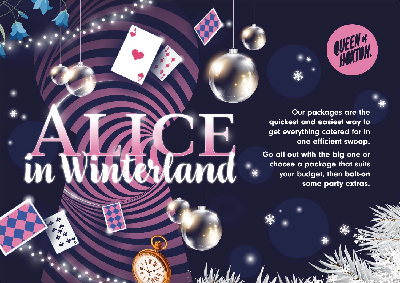

Our packages are the quickest and easiest way to get everything catered for in one efficient swoop.

Go all out with the big one or choose a package that suits your budget, then bolt-on some party extras.

und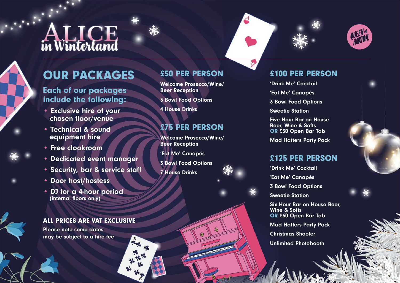# **ALICE**

# OUR PACKAGES

# Each of our packages include the following:

- Exclusive hire of your chosen floor/venue
- Technical & sound equipment hire
- Free cloakroom
- Dedicated event manager
- Security, bar & service staff
- Door host/hostess
- DJ for a 4-hour period (internal floors only)

#### ALL PRICES ARE VAT EXCLUSIVE

Please note some dates may be subject to a hire fee

# £50 PER PERSON

Welcome Prosecco/Wine/ Beer Reception

3 Bowl Food Options

4 House Drinks

# £75 PER PERSON

Welcome Prosecco/Wine/ Beer Reception

Wood

'Eat Me' Canapés

3 Bowl Food Options

7 House Drinks

# £100 PER PERSON

'Drink Me' Cocktail

'Eat Me' Canapés

3 Bowl Food Options

Sweetie Station

Five Hour Bar on House Beer, Wine & Softs OR £50 Open Bar Tab

Mad Hatters Party Pack

# £125 PER PERSON

'Drink Me' Cocktail

'Eat Me' Canapés

3 Bowl Food Options

Sweetie Station

Six Hour Bar on House Beer, Wine & Softs OR £60 Open Bar Tab

Mad Hatters Party Pack

Christmas Shooter

Unlimited Photobooth

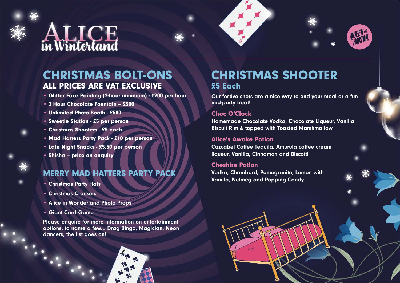

# CHRISTMAS BOLT-ONS ALL PRICES ARE VAT EXCLUSIVE

- Glitter Face Painting (2-hour minimum) £200 per hour
- 2 Hour Chocolate Fountain £300
- Unlimited Photo-Booth £500
- Sweetie Station £5 per person
- Christmas Shooters £5 each
- Mad Hatters Party Pack £10 per person
- Late Night Snacks £5.50 per person
- Shisha price on enquiry

### MERRY MAD HATTERS PARTY PACK

- Christmas Party Hats
- Christmas Crackers
- Alice in Wonderland Photo Props
- Giant Card Game

Please enquire for more information on entertainment options, to name a few... Drag Bingo, Magician, Neon dancers, the list goes on!

# CHRISTMAS SHOOTER £5 Each

Our festive shots are a nice way to end your meal or a fun mid-party treat!

#### Choc O'Clock

Homemade Chocolate Vodka, Chocolate Liqueur, Vanilla Biscuit Rim & topped with Toasted Marshmallow

#### Alice's Awake Potion

Cazcabel Coffee Tequila, Amurula coffee cream liqueur, Vanilla, Cinnamon and Biscotti

#### Cheshire Potion

Vodka, Chambord, Pomegranite, Lemon with Vanilla, Nutmeg and Popping Candy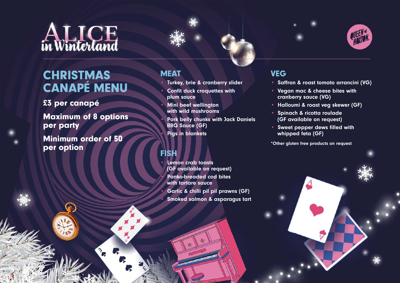

# **CHRISTMAS** CANAPÉ MENU

£3 per canapé

Maximum of 8 options per party

Minimum order of 50 per option



- Turkey, brie & cranberry slider
- Confit duck croquettes with plum sauce
- Mini beef wellington with wild mushrooms

• Pork belly chunks with Jack Daniels BBQ Sauce (GF)

Pigs in blankets

### FISH

• Lemon crab toasts (GF available on request) • Panko-breaded cod bites with tartare sauce • Garlic & chilli pil pil prawns (GF) • Smoked salmon & asparagus tart

### VEG

- Saffron & roast tomato arrancini (VG)
- Vegan mac & cheese bites with cranberry sauce (VG)
- Halloumi & roast veg skewer (GF)
- Spinach & ricotta roulade (GF available on request)
- Sweet pepper dews filled with whipped feta (GF)

\*Other gluten free products on request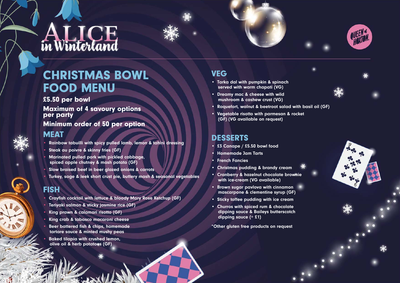



# CHRISTMAS BOWL FOOD MENU

£5.50 per bowl

Maximum of 4 savoury options per party

Minimum order of 50 per option

#### **MEAT**

- Rainbow tabuilli with spicy pulled lamb, lemon & tahini dressing
- Steak au poivre & skinny fries (GF)
- Marinated pulled pork with pickled cabbage, spiced apple chutney & mash potato (GF)
- Slow braised beef in beer glazed onions & carrots
- Turkey, sage & leek short crust pie, buttery mash & seasonal vegetables

# **FISH**

- Crayfish cocktail with lettuce & bloody Mary Rose Ketchup (GF)
- Teriyaki salmon & sticky jasmine rice (GF)
- King prawn & calamari risotto (GF)
- King crab & tabasco macaroni cheese
- Beer battered fish & chips, homemade tartare sauce & minted mushy peas
- Baked tilapia with crushed lemon, olive oil & herb potatoes (GF)

### **VEG**

- Tarka dal with pumpkin & spinach served with warm chapati (VG)
- Dreamy mac & cheese with wild mushroom & cashew crust (VG)
- Roquefort, walnut & beetroot salad with basil oil (GF)
- Vegetable risotto with parmesan & rocket (GF) (VG available on request)

# DESSERTS

- £3 Canape / £5.50 bowl food
- Homemade Jam Tarts
- **French Fancies**
- Christmas pudding & brandy cream
- Cranberry & hazelnut chocolate brownie with ice-cream (VG available)
- Brown sugar pavlova with cinnamon mascarpone & clementine syrup (GF)
- Sticky toffee pudding with ice cream
- Churros with spiced rum & chocolate dipping sauce & Baileys butterscotch dipping sauce (+ £1)

\*Other gluten free products on request